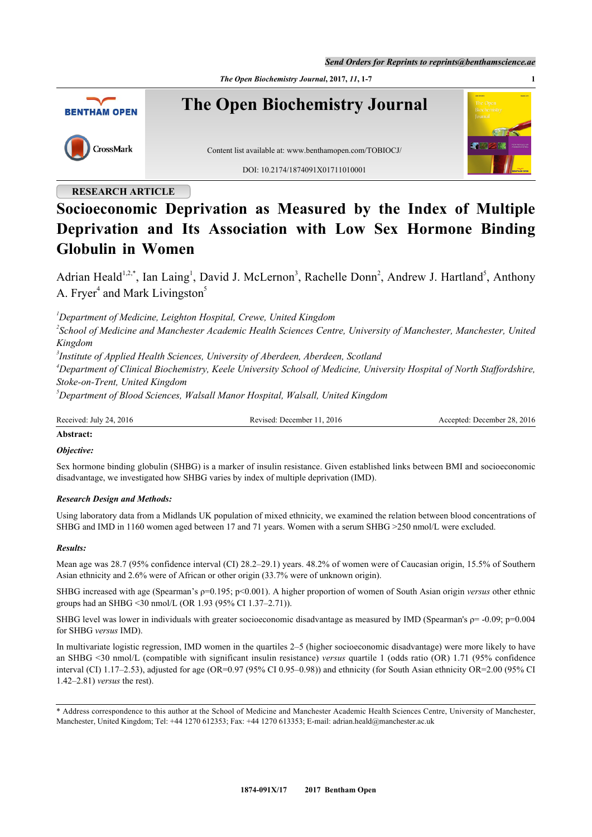*Send Orders for Reprints to reprints@benthamscience.ae*

*The Open Biochemistry Journal***, 2017,** *11***, 1-7 1**



## **RESEARCH ARTICLE**

# **Socioeconomic Deprivation as Measured by the Index of Multiple Deprivation and Its Association with Low Sex Hormone Binding Globulin in Women**

Adrian Heald<sup>[1](#page-0-0)[,2,](#page-0-1)[\\*](#page-0-2)</sup>, Ian Laing<sup>1</sup>, David J. McLernon<sup>[3](#page-0-3)</sup>, Rachelle Donn<sup>[2](#page-0-1)</sup>, Andrew J. Hartland<sup>[5](#page-0-4)</sup>, Anthony A. Fryer<sup>[4](#page-0-5)</sup> and Mark Livingston<sup>[5](#page-0-4)</sup>

<span id="page-0-0"></span>*<sup>1</sup>Department of Medicine, Leighton Hospital, Crewe, United Kingdom*

<span id="page-0-1"></span>*2 School of Medicine and Manchester Academic Health Sciences Centre, University of Manchester, Manchester, United Kingdom*

<span id="page-0-3"></span>*3 Institute of Applied Health Sciences, University of Aberdeen, Aberdeen, Scotland*

<span id="page-0-5"></span>*<sup>4</sup>Department of Clinical Biochemistry, Keele University School of Medicine, University Hospital of North Staffordshire, Stoke-on-Trent, United Kingdom*

<span id="page-0-4"></span>*<sup>5</sup>Department of Blood Sciences, Walsall Manor Hospital, Walsall, United Kingdom*

Received: July 24, 2016 Revised: December 11, 2016 Revised: December 11, 2016 Accepted: December 28, 2016

## **Abstract:**

## *Objective:*

Sex hormone binding globulin (SHBG) is a marker of insulin resistance. Given established links between BMI and socioeconomic disadvantage, we investigated how SHBG varies by index of multiple deprivation (IMD).

#### *Research Design and Methods:*

Using laboratory data from a Midlands UK population of mixed ethnicity, we examined the relation between blood concentrations of SHBG and IMD in 1160 women aged between 17 and 71 years. Women with a serum SHBG >250 nmol/L were excluded.

#### *Results:*

Mean age was 28.7 (95% confidence interval (CI) 28.2–29.1) years. 48.2% of women were of Caucasian origin, 15.5% of Southern Asian ethnicity and 2.6% were of African or other origin (33.7% were of unknown origin).

SHBG increased with age (Spearman's ρ=0.195; p<0.001). A higher proportion of women of South Asian origin *versus* other ethnic groups had an SHBG <30 nmol/L (OR 1.93 (95% CI 1.37–2.71)).

SHBG level was lower in individuals with greater socioeconomic disadvantage as measured by IMD (Spearman's  $p = -0.09$ ;  $p=0.004$ ) for SHBG *versus* IMD).

In multivariate logistic regression, IMD women in the quartiles 2–5 (higher socioeconomic disadvantage) were more likely to have an SHBG <30 nmol/L (compatible with significant insulin resistance) *versus* quartile 1 (odds ratio (OR) 1.71 (95% confidence interval (CI) 1.17–2.53), adjusted for age (OR=0.97 (95% CI 0.95–0.98)) and ethnicity (for South Asian ethnicity OR=2.00 (95% CI 1.42–2.81) *versus* the rest).

<span id="page-0-2"></span>\* Address correspondence to this author at the School of Medicine and Manchester Academic Health Sciences Centre, University of Manchester, Manchester, United Kingdom; Tel: +44 1270 612353; Fax: +44 1270 613353; E-mail: [adrian.heald@manchester.ac.uk](mailto:adrian.heald@manchester.ac.uk)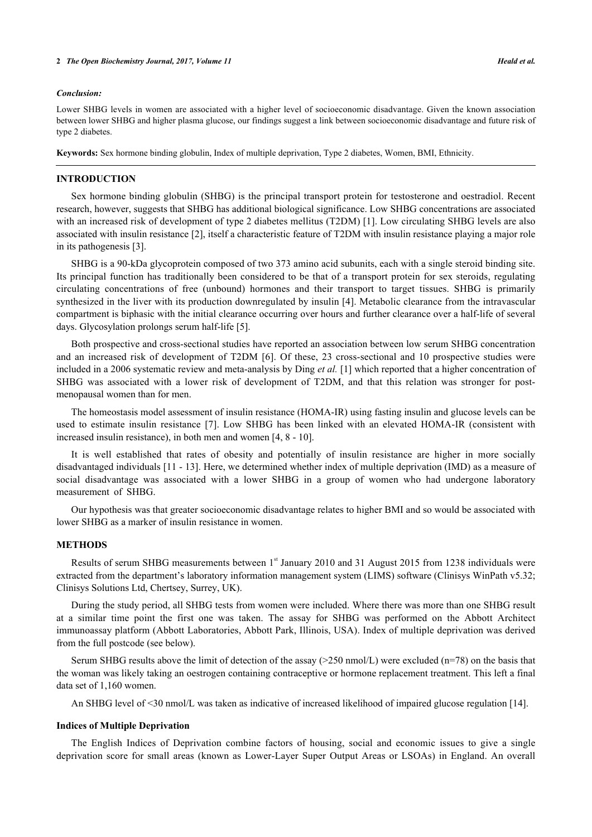#### *Conclusion:*

Lower SHBG levels in women are associated with a higher level of socioeconomic disadvantage. Given the known association between lower SHBG and higher plasma glucose, our findings suggest a link between socioeconomic disadvantage and future risk of type 2 diabetes.

**Keywords:** Sex hormone binding globulin, Index of multiple deprivation, Type 2 diabetes, Women, BMI, Ethnicity.

## **INTRODUCTION**

Sex hormone binding globulin (SHBG) is the principal transport protein for testosterone and oestradiol. Recent research, however, suggests that SHBG has additional biological significance. Low SHBG concentrations are associated with an increased risk of development of type 2 diabetes mellitus (T2DM) [[1\]](#page-4-0). Low circulating SHBG levels are also associated with insulin resistance [[2\]](#page-5-0), itself a characteristic feature of T2DM with insulin resistance playing a major role in its pathogenesis [\[3](#page-5-1)].

SHBG is a 90-kDa glycoprotein composed of two 373 amino acid subunits, each with a single steroid binding site. Its principal function has traditionally been considered to be that of a transport protein for sex steroids, regulating circulating concentrations of free (unbound) hormones and their transport to target tissues. SHBG is primarily synthesized in the liver with its production downregulated by insulin [[4\]](#page-5-2). Metabolic clearance from the intravascular compartment is biphasic with the initial clearance occurring over hours and further clearance over a half-life of several days. Glycosylation prolongs serum half-life [\[5](#page-5-3)].

Both prospective and cross-sectional studies have reported an association between low serum SHBG concentration and an increased risk of development of T2DM[[6\]](#page-5-4). Of these, 23 cross-sectional and 10 prospective studies were included in a 2006 systematic review and meta-analysis by Ding *et al.* [[1\]](#page-4-0) which reported that a higher concentration of SHBG was associated with a lower risk of development of T2DM, and that this relation was stronger for postmenopausal women than for men.

The homeostasis model assessment of insulin resistance (HOMA-IR) using fasting insulin and glucose levels can be used to estimate insulin resistance[[7\]](#page-5-5). Low SHBG has been linked with an elevated HOMA-IR (consistent with increased insulin resistance), in both men and women [[4,](#page-5-2) [8](#page-5-6) - [10](#page-5-7)].

It is well established that rates of obesity and potentially of insulin resistance are higher in more socially disadvantaged individuals [[11](#page-5-8) - [13](#page-5-9)]. Here, we determined whether index of multiple deprivation (IMD) as a measure of social disadvantage was associated with a lower SHBG in a group of women who had undergone laboratory measurement of SHBG.

Our hypothesis was that greater socioeconomic disadvantage relates to higher BMI and so would be associated with lower SHBG as a marker of insulin resistance in women.

## **METHODS**

Results of serum SHBG measurements between 1<sup>st</sup> January 2010 and 31 August 2015 from 1238 individuals were extracted from the department's laboratory information management system (LIMS) software (Clinisys WinPath v5.32; Clinisys Solutions Ltd, Chertsey, Surrey, UK).

During the study period, all SHBG tests from women were included. Where there was more than one SHBG result at a similar time point the first one was taken. The assay for SHBG was performed on the Abbott Architect immunoassay platform (Abbott Laboratories, Abbott Park, Illinois, USA). Index of multiple deprivation was derived from the full postcode (see below).

Serum SHBG results above the limit of detection of the assay ( $>250$  nmol/L) were excluded (n=78) on the basis that the woman was likely taking an oestrogen containing contraceptive or hormone replacement treatment. This left a final data set of 1,160 women.

An SHBG level of <30 nmol/L was taken as indicative of increased likelihood of impaired glucose regulation [[14\]](#page-5-10).

#### **Indices of Multiple Deprivation**

The English Indices of Deprivation combine factors of housing, social and economic issues to give a single deprivation score for small areas (known as Lower-Layer Super Output Areas or LSOAs) in England. An overall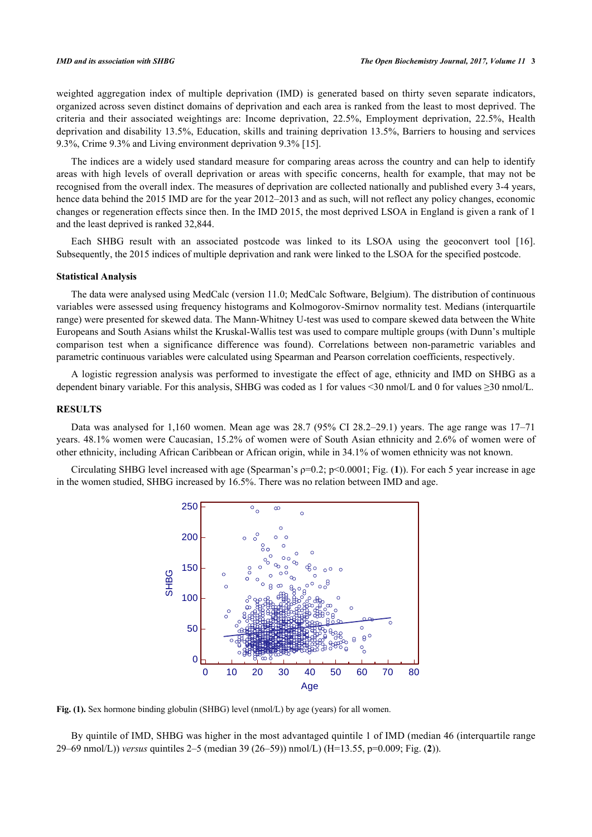weighted aggregation index of multiple deprivation (IMD) is generated based on thirty seven separate indicators, organized across seven distinct domains of deprivation and each area is ranked from the least to most deprived. The criteria and their associated weightings are: Income deprivation, 22.5%, Employment deprivation, 22.5%, Health deprivation and disability 13.5%, Education, skills and training deprivation 13.5%, Barriers to housing and services 9.3%, Crime 9.3% and Living environment deprivation 9.3% [\[15](#page-5-11)].

The indices are a widely used standard measure for comparing areas across the country and can help to identify areas with high levels of overall deprivation or areas with specific concerns, health for example, that may not be recognised from the overall index. The measures of deprivation are collected nationally and published every 3-4 years, hence data behind the 2015 IMD are for the year 2012–2013 and as such, will not reflect any policy changes, economic changes or regeneration effects since then. In the IMD 2015, the most deprived LSOA in England is given a rank of 1 and the least deprived is ranked 32,844.

Each SHBG result with an associated postcode was linked to its LSOA using the geoconvert tool [\[16\]](#page-5-12). Subsequently, the 2015 indices of multiple deprivation and rank were linked to the LSOA for the specified postcode.

## **Statistical Analysis**

The data were analysed using MedCalc (version 11.0; MedCalc Software, Belgium). The distribution of continuous variables were assessed using frequency histograms and Kolmogorov-Smirnov normality test. Medians (interquartile range) were presented for skewed data. The Mann-Whitney U-test was used to compare skewed data between the White Europeans and South Asians whilst the Kruskal-Wallis test was used to compare multiple groups (with Dunn's multiple comparison test when a significance difference was found). Correlations between non-parametric variables and parametric continuous variables were calculated using Spearman and Pearson correlation coefficients, respectively.

A logistic regression analysis was performed to investigate the effect of age, ethnicity and IMD on SHBG as a dependent binary variable. For this analysis, SHBG was coded as 1 for values <30 nmol/L and 0 for values  $\geq$ 30 nmol/L.

#### **RESULTS**

Data was analysed for 1,160 women. Mean age was 28.7 (95% CI 28.2–29.1) years. The age range was 17–71 years. 48.1% women were Caucasian, 15.2% of women were of South Asian ethnicity and 2.6% of women were of other ethnicity, including African Caribbean or African origin, while in 34.1% of women ethnicity was not known.

<span id="page-2-0"></span>Circulating SHBG level increased with age (Spearman's ρ=0.2; p<0.0001; Fig. (**[1](#page-2-0)**)). For each 5 year increase in age in the women studied, SHBG increased by 16.5%. There was no relation between IMD and age.



Fig. (1). Sex hormone binding globulin (SHBG) level (nmol/L) by age (years) for all women.

<span id="page-2-1"></span>By quintile of IMD, SHBG was higher in the most advantaged quintile 1 of IMD (median 46 (interquartile range 29–69 nmol/L)) *versus* quintiles 2–5 (median 39 (26–59)) nmol/L) (H=13.55, p=0.009; Fig. (**[2](#page-2-1)**)).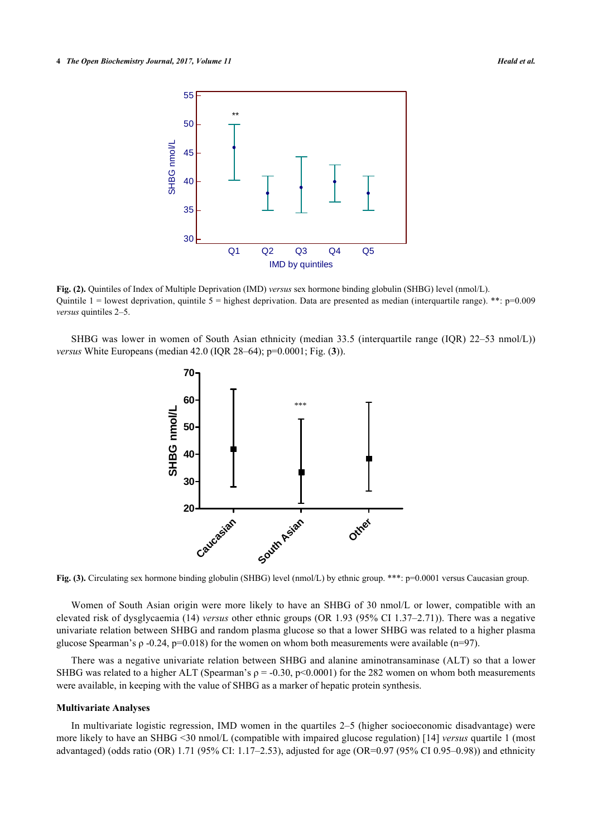

**Fig. (2).** Quintiles of Index of Multiple Deprivation (IMD) *versus* sex hormone binding globulin (SHBG) level (nmol/L). Quintile  $1 =$  lowest deprivation, quintile  $5 =$  highest deprivation. Data are presented as median (interquartile range). \*\*: p=0.009 *versus* quintiles 2–5.

<span id="page-3-0"></span>SHBG was lower in women of South Asian ethnicity (median 33.5 (interquartile range (IQR) 22–53 nmol/L)) *versus* White Europeans (median 42.0 (IQR 28–64); p=0.0001; Fig. (**[3](#page-3-0)**)).



**Fig. (3).** Circulating sex hormone binding globulin (SHBG) level (nmol/L) by ethnic group. \*\*\*: p=0.0001 versus Caucasian group.

Women of South Asian origin were more likely to have an SHBG of 30 nmol/L or lower, compatible with an elevated risk of dysglycaemia (14) *versus* other ethnic groups (OR 1.93 (95% CI 1.37–2.71)). There was a negative univariate relation between SHBG and random plasma glucose so that a lower SHBG was related to a higher plasma glucose Spearman's ρ -0.24, p=0.018) for the women on whom both measurements were available (n=97).

There was a negative univariate relation between SHBG and alanine aminotransaminase (ALT) so that a lower SHBG was related to a higher ALT (Spearman's  $\rho = -0.30$ , p<0.0001) for the 282 women on whom both measurements were available, in keeping with the value of SHBG as a marker of hepatic protein synthesis.

#### **Multivariate Analyses**

In multivariate logistic regression, IMD women in the quartiles 2–5 (higher socioeconomic disadvantage) were more likely to have an SHBG <30 nmol/L (compatible with impaired glucose regulation) [[14\]](#page-5-10) *versus* quartile 1 (most advantaged) (odds ratio (OR) 1.71 (95% CI: 1.17–2.53), adjusted for age (OR=0.97 (95% CI 0.95–0.98)) and ethnicity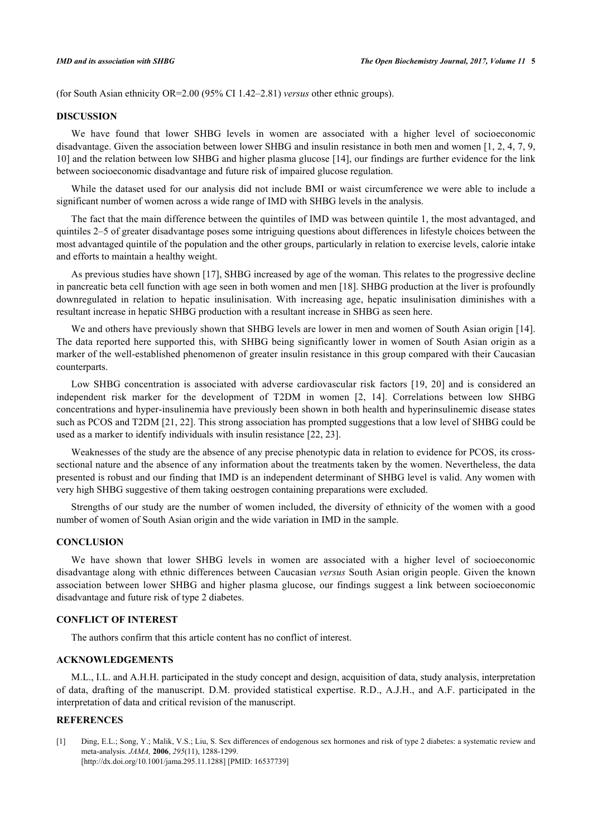(for South Asian ethnicity OR=2.00 (95% CI 1.42–2.81) *versus* other ethnic groups).

#### **DISCUSSION**

We have found that lower SHBG levels in women are associated with a higher level of socioeconomic disadvantage. Given the association between lower SHBG and insulin resistance in both men and women [[1](#page-4-0), [2](#page-5-0), [4,](#page-5-2) [7,](#page-5-5) [9](#page-5-13), [10\]](#page-5-7) and the relation between low SHBG and higher plasma glucose [[14\]](#page-5-10), our findings are further evidence for the link between socioeconomic disadvantage and future risk of impaired glucose regulation.

While the dataset used for our analysis did not include BMI or waist circumference we were able to include a significant number of women across a wide range of IMD with SHBG levels in the analysis.

The fact that the main difference between the quintiles of IMD was between quintile 1, the most advantaged, and quintiles 2–5 of greater disadvantage poses some intriguing questions about differences in lifestyle choices between the most advantaged quintile of the population and the other groups, particularly in relation to exercise levels, calorie intake and efforts to maintain a healthy weight.

As previous studies have shown [\[17](#page-5-14)], SHBG increased by age of the woman. This relates to the progressive decline in pancreatic beta cell function with age seen in both women and men [[18\]](#page-5-15). SHBG production at the liver is profoundly downregulated in relation to hepatic insulinisation. With increasing age, hepatic insulinisation diminishes with a resultant increase in hepatic SHBG production with a resultant increase in SHBG as seen here.

We and others have previously shown that SHBG levels are lower in men and women of South Asian origin [\[14\]](#page-5-10). The data reported here supported this, with SHBG being significantly lower in women of South Asian origin as a marker of the well-established phenomenon of greater insulin resistance in this group compared with their Caucasian counterparts.

Low SHBG concentration is associated with adverse cardiovascular risk factors[[19](#page-5-16), [20](#page-5-17)] and is considered an independent risk marker for the development of T2DM in women [\[2](#page-5-0), [14\]](#page-5-10). Correlations between low SHBG concentrations and hyper-insulinemia have previously been shown in both health and hyperinsulinemic disease states such as PCOS and T2DM [\[21](#page-5-18), [22](#page-5-19)]. This strong association has prompted suggestions that a low level of SHBG could be used as a marker to identify individuals with insulin resistance [\[22](#page-5-19), [23](#page-6-0)].

Weaknesses of the study are the absence of any precise phenotypic data in relation to evidence for PCOS, its crosssectional nature and the absence of any information about the treatments taken by the women. Nevertheless, the data presented is robust and our finding that IMD is an independent determinant of SHBG level is valid. Any women with very high SHBG suggestive of them taking oestrogen containing preparations were excluded.

Strengths of our study are the number of women included, the diversity of ethnicity of the women with a good number of women of South Asian origin and the wide variation in IMD in the sample.

## **CONCLUSION**

We have shown that lower SHBG levels in women are associated with a higher level of socioeconomic disadvantage along with ethnic differences between Caucasian *versus* South Asian origin people. Given the known association between lower SHBG and higher plasma glucose, our findings suggest a link between socioeconomic disadvantage and future risk of type 2 diabetes.

## **CONFLICT OF INTEREST**

The authors confirm that this article content has no conflict of interest.

## **ACKNOWLEDGEMENTS**

M.L., I.L. and A.H.H. participated in the study concept and design, acquisition of data, study analysis, interpretation of data, drafting of the manuscript. D.M. provided statistical expertise. R.D., A.J.H., and A.F. participated in the interpretation of data and critical revision of the manuscript.

#### **REFERENCES**

<span id="page-4-0"></span>[1] Ding, E.L.; Song, Y.; Malik, V.S.; Liu, S. Sex differences of endogenous sex hormones and risk of type 2 diabetes: a systematic review and meta-analysis. *JAMA,* **2006**, *295*(11), 1288-1299. [\[http://dx.doi.org/10.1001/jama.295.11.1288](http://dx.doi.org/10.1001/jama.295.11.1288)] [PMID: [16537739\]](http://www.ncbi.nlm.nih.gov/pubmed/16537739)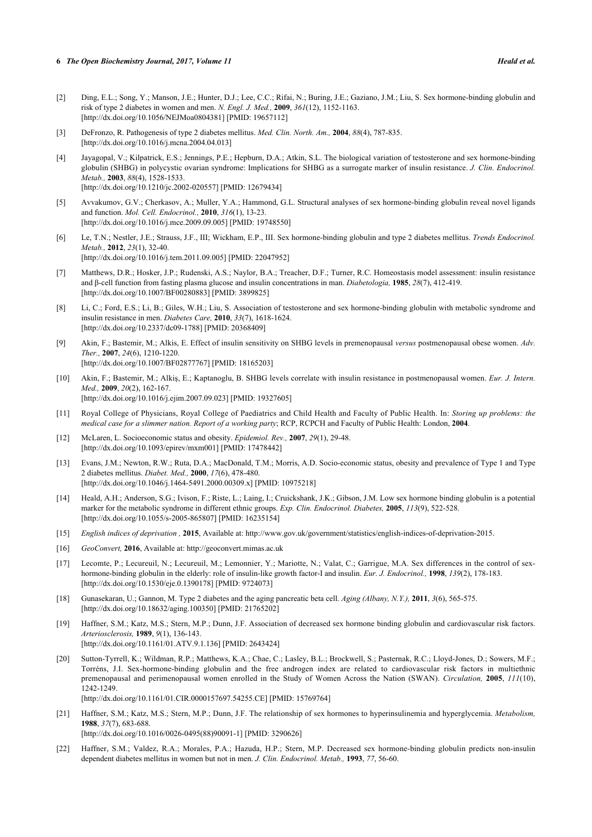- <span id="page-5-0"></span>[2] Ding, E.L.; Song, Y.; Manson, J.E.; Hunter, D.J.; Lee, C.C.; Rifai, N.; Buring, J.E.; Gaziano, J.M.; Liu, S. Sex hormone-binding globulin and risk of type 2 diabetes in women and men. *N. Engl. J. Med.,* **2009**, *361*(12), 1152-1163. [\[http://dx.doi.org/10.1056/NEJMoa0804381](http://dx.doi.org/10.1056/NEJMoa0804381)] [PMID: [19657112\]](http://www.ncbi.nlm.nih.gov/pubmed/19657112)
- <span id="page-5-1"></span>[3] DeFronzo, R. Pathogenesis of type 2 diabetes mellitus. *Med. Clin. North. Am.,* **2004**, *88*(4), 787-835. [\[http://dx.doi.org/10.1016/j.mcna.2004.04.013](http://dx.doi.org/10.1016/j.mcna.2004.04.013)]
- <span id="page-5-2"></span>[4] Jayagopal, V.; Kilpatrick, E.S.; Jennings, P.E.; Hepburn, D.A.; Atkin, S.L. The biological variation of testosterone and sex hormone-binding globulin (SHBG) in polycystic ovarian syndrome: Implications for SHBG as a surrogate marker of insulin resistance. *J. Clin. Endocrinol. Metab.,* **2003**, *88*(4), 1528-1533. [\[http://dx.doi.org/10.1210/jc.2002-020557](http://dx.doi.org/10.1210/jc.2002-020557)] [PMID: [12679434\]](http://www.ncbi.nlm.nih.gov/pubmed/12679434)
- <span id="page-5-3"></span>[5] Avvakumov, G.V.; Cherkasov, A.; Muller, Y.A.; Hammond, G.L. Structural analyses of sex hormone-binding globulin reveal novel ligands and function. *Mol. Cell. Endocrinol.,* **2010**, *316*(1), 13-23. [\[http://dx.doi.org/10.1016/j.mce.2009.09.005](http://dx.doi.org/10.1016/j.mce.2009.09.005)] [PMID: [19748550\]](http://www.ncbi.nlm.nih.gov/pubmed/19748550)
- <span id="page-5-4"></span>[6] Le, T.N.; Nestler, J.E.; Strauss, J.F., III; Wickham, E.P., III. Sex hormone-binding globulin and type 2 diabetes mellitus. *Trends Endocrinol. Metab.,* **2012**, *23*(1), 32-40. [\[http://dx.doi.org/10.1016/j.tem.2011.09.005](http://dx.doi.org/10.1016/j.tem.2011.09.005)] [PMID: [22047952\]](http://www.ncbi.nlm.nih.gov/pubmed/22047952)
- <span id="page-5-5"></span>[7] Matthews, D.R.; Hosker, J.P.; Rudenski, A.S.; Naylor, B.A.; Treacher, D.F.; Turner, R.C. Homeostasis model assessment: insulin resistance and β-cell function from fasting plasma glucose and insulin concentrations in man. *Diabetologia,* **1985**, *28*(7), 412-419. [\[http://dx.doi.org/10.1007/BF00280883\]](http://dx.doi.org/10.1007/BF00280883) [PMID: [3899825](http://www.ncbi.nlm.nih.gov/pubmed/3899825)]
- <span id="page-5-6"></span>[8] Li, C.; Ford, E.S.; Li, B.; Giles, W.H.; Liu, S. Association of testosterone and sex hormone-binding globulin with metabolic syndrome and insulin resistance in men. *Diabetes Care,* **2010**, *33*(7), 1618-1624. [\[http://dx.doi.org/10.2337/dc09-1788](http://dx.doi.org/10.2337/dc09-1788)] [PMID: [20368409\]](http://www.ncbi.nlm.nih.gov/pubmed/20368409)
- <span id="page-5-13"></span>[9] Akin, F.; Bastemir, M.; Alkis, E. Effect of insulin sensitivity on SHBG levels in premenopausal *versus* postmenopausal obese women. *Adv. Ther.,* **2007**, *24*(6), 1210-1220. [\[http://dx.doi.org/10.1007/BF02877767\]](http://dx.doi.org/10.1007/BF02877767) [PMID: [18165203](http://www.ncbi.nlm.nih.gov/pubmed/18165203)]
- <span id="page-5-7"></span>[10] Akin, F.; Bastemir, M.; Alkiş, E.; Kaptanoglu, B. SHBG levels correlate with insulin resistance in postmenopausal women. *Eur. J. Intern. Med.,* **2009**, *20*(2), 162-167. [\[http://dx.doi.org/10.1016/j.ejim.2007.09.023](http://dx.doi.org/10.1016/j.ejim.2007.09.023)] [PMID: [19327605\]](http://www.ncbi.nlm.nih.gov/pubmed/19327605)
- <span id="page-5-8"></span>[11] Royal College of Physicians, Royal College of Paediatrics and Child Health and Faculty of Public Health. In: *Storing up problems: the medical case for a slimmer nation. Report of a working party*; RCP, RCPCH and Faculty of Public Health: London, **2004**.
- [12] McLaren, L. Socioeconomic status and obesity. *Epidemiol. Rev.,* **2007**, *29*(1), 29-48. [\[http://dx.doi.org/10.1093/epirev/mxm001](http://dx.doi.org/10.1093/epirev/mxm001)] [PMID: [17478442](http://www.ncbi.nlm.nih.gov/pubmed/17478442)]
- <span id="page-5-9"></span>[13] Evans, J.M.; Newton, R.W.; Ruta, D.A.; MacDonald, T.M.; Morris, A.D. Socio-economic status, obesity and prevalence of Type 1 and Type 2 diabetes mellitus. *Diabet. Med.,* **2000**, *17*(6), 478-480. [\[http://dx.doi.org/10.1046/j.1464-5491.2000.00309.x\]](http://dx.doi.org/10.1046/j.1464-5491.2000.00309.x) [PMID: [10975218](http://www.ncbi.nlm.nih.gov/pubmed/10975218)]
- <span id="page-5-10"></span>[14] Heald, A.H.; Anderson, S.G.; Ivison, F.; Riste, L.; Laing, I.; Cruickshank, J.K.; Gibson, J.M. Low sex hormone binding globulin is a potential marker for the metabolic syndrome in different ethnic groups. *Exp. Clin. Endocrinol. Diabetes,* **2005**, *113*(9), 522-528. [\[http://dx.doi.org/10.1055/s-2005-865807](http://dx.doi.org/10.1055/s-2005-865807)] [PMID: [16235154\]](http://www.ncbi.nlm.nih.gov/pubmed/16235154)
- <span id="page-5-11"></span>[15] *English indices of deprivation ,* **2015**, Available at:<http://www.gov.uk/government/statistics/english-indices-of-deprivation-2015.>
- <span id="page-5-12"></span>[16] *GeoConvert,* **2016**, Available at: <http://geoconvert.mimas.ac.uk>
- <span id="page-5-14"></span>[17] Lecomte, P.; Lecureuil, N.; Lecureuil, M.; Lemonnier, Y.; Mariotte, N.; Valat, C.; Garrigue, M.A. Sex differences in the control of sexhormone-binding globulin in the elderly: role of insulin-like growth factor-I and insulin. *Eur. J. Endocrinol.,* **1998**, *139*(2), 178-183. [\[http://dx.doi.org/10.1530/eje.0.1390178](http://dx.doi.org/10.1530/eje.0.1390178)] [PMID: [9724073\]](http://www.ncbi.nlm.nih.gov/pubmed/9724073)
- <span id="page-5-15"></span>[18] Gunasekaran, U.; Gannon, M. Type 2 diabetes and the aging pancreatic beta cell. *Aging (Albany, N.Y.),* **2011**, *3*(6), 565-575. [\[http://dx.doi.org/10.18632/aging.100350\]](http://dx.doi.org/10.18632/aging.100350) [PMID: [21765202](http://www.ncbi.nlm.nih.gov/pubmed/21765202)]
- <span id="page-5-16"></span>[19] Haffner, S.M.; Katz, M.S.; Stern, M.P.; Dunn, J.F. Association of decreased sex hormone binding globulin and cardiovascular risk factors. *Arteriosclerosis,* **1989**, *9*(1), 136-143. [\[http://dx.doi.org/10.1161/01.ATV.9.1.136](http://dx.doi.org/10.1161/01.ATV.9.1.136)] [PMID: [2643424\]](http://www.ncbi.nlm.nih.gov/pubmed/2643424)
- <span id="page-5-17"></span>[20] Sutton-Tyrrell, K.; Wildman, R.P.; Matthews, K.A.; Chae, C.; Lasley, B.L.; Brockwell, S.; Pasternak, R.C.; Lloyd-Jones, D.; Sowers, M.F.; Torréns, J.I. Sex-hormone-binding globulin and the free androgen index are related to cardiovascular risk factors in multiethnic premenopausal and perimenopausal women enrolled in the Study of Women Across the Nation (SWAN). *Circulation,* **2005**, *111*(10), 1242-1249.

[\[http://dx.doi.org/10.1161/01.CIR.0000157697.54255.CE](http://dx.doi.org/10.1161/01.CIR.0000157697.54255.CE)] [PMID: [15769764\]](http://www.ncbi.nlm.nih.gov/pubmed/15769764)

<span id="page-5-18"></span>[21] Haffner, S.M.; Katz, M.S.; Stern, M.P.; Dunn, J.F. The relationship of sex hormones to hyperinsulinemia and hyperglycemia. *Metabolism,* **1988**, *37*(7), 683-688.

[\[http://dx.doi.org/10.1016/0026-0495\(88\)90091-1](http://dx.doi.org/10.1016/0026-0495(88)90091-1)] [PMID: [3290626](http://www.ncbi.nlm.nih.gov/pubmed/3290626)]

<span id="page-5-19"></span>[22] Haffner, S.M.; Valdez, R.A.; Morales, P.A.; Hazuda, H.P.; Stern, M.P. Decreased sex hormone-binding globulin predicts non-insulin dependent diabetes mellitus in women but not in men. *J. Clin. Endocrinol. Metab.,* **1993**, *77*, 56-60.